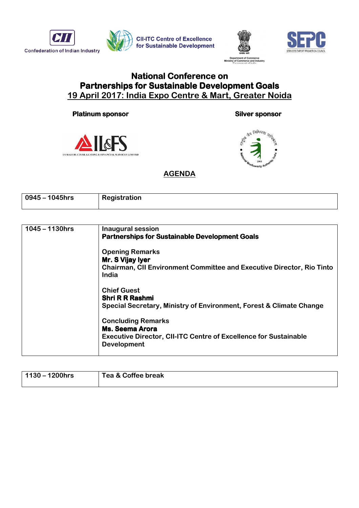





## **National Conference on** Partnerships for Sustainable Development Goals 19 April 2017: India Expo Centre & Mart, Greater Noida

## Platinum sponsor sponsor sponsor sponsor sponsor sponsor







## **AGENDA**

| $\sqrt{0.0945}$ – 1045hrs | Registration |
|---------------------------|--------------|
|                           |              |

| <b>Inaugural session</b><br><b>Partnerships for Sustainable Development Goals</b>                                                             |
|-----------------------------------------------------------------------------------------------------------------------------------------------|
| <b>Opening Remarks</b><br>Mr. S Vijay Iyer<br><b>Chairman, CII Environment Committee and Executive Director, Rio Tinto</b><br>India           |
| <b>Chief Guest</b><br><b>Shri R R Rashmi</b><br>Special Secretary, Ministry of Environment, Forest & Climate Change                           |
| <b>Concluding Remarks</b><br>Ms. Seema Arora<br><b>Executive Director, CII-ITC Centre of Excellence for Sustainable</b><br><b>Development</b> |
|                                                                                                                                               |

| $1130 - 1200$ hrs | Tea & Coffee break |
|-------------------|--------------------|
|                   |                    |